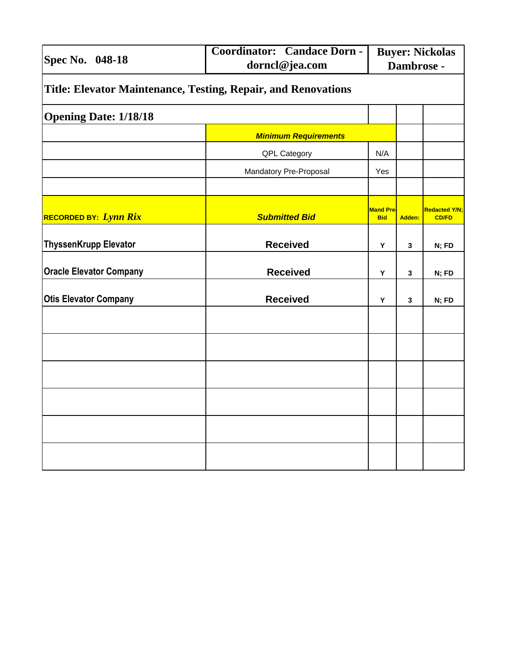| Spec No. 048-18                                               | <b>Coordinator: Candace Dorn -</b><br>dorncl@jea.com | <b>Buyer: Nickolas</b><br>Dambrose - |             |                                      |
|---------------------------------------------------------------|------------------------------------------------------|--------------------------------------|-------------|--------------------------------------|
| Title: Elevator Maintenance, Testing, Repair, and Renovations |                                                      |                                      |             |                                      |
| <b>Opening Date: 1/18/18</b>                                  |                                                      |                                      |             |                                      |
|                                                               | <b>Minimum Requirements</b>                          |                                      |             |                                      |
|                                                               | QPL Category                                         | N/A                                  |             |                                      |
|                                                               | Mandatory Pre-Proposal                               | Yes                                  |             |                                      |
|                                                               |                                                      |                                      |             |                                      |
| RECORDED BY: Lynn Rix                                         | <b>Submitted Bid</b>                                 | <b>Mand Pre-</b><br><b>Bid</b>       | Adden:      | <b>Redacted Y/N;</b><br><b>CD/FD</b> |
| <b>ThyssenKrupp Elevator</b>                                  | <b>Received</b>                                      | Υ                                    | 3           | N; FD                                |
| <b>Oracle Elevator Company</b>                                | <b>Received</b>                                      | Υ                                    | $\mathbf 3$ | N; FD                                |
| <b>Otis Elevator Company</b>                                  | <b>Received</b>                                      | Υ                                    | 3           | N; FD                                |
|                                                               |                                                      |                                      |             |                                      |
|                                                               |                                                      |                                      |             |                                      |
|                                                               |                                                      |                                      |             |                                      |
|                                                               |                                                      |                                      |             |                                      |
|                                                               |                                                      |                                      |             |                                      |
|                                                               |                                                      |                                      |             |                                      |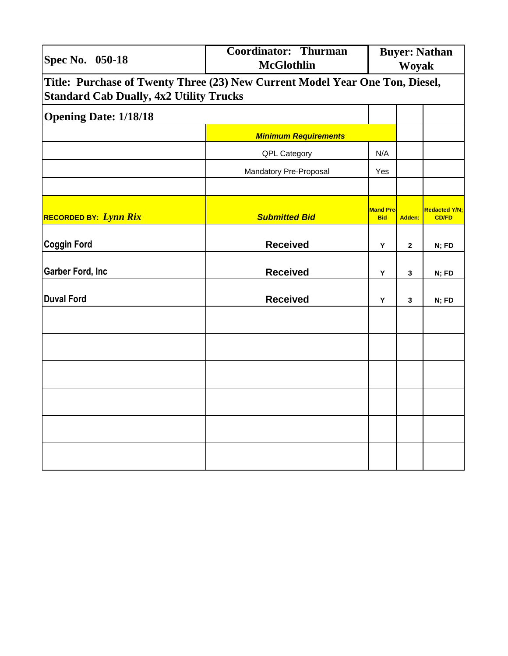| Spec No. 050-18                                                                                                                | <b>Coordinator: Thurman</b><br><b>McGlothlin</b> | <b>Buyer: Nathan</b><br>Woyak  |              |                                      |
|--------------------------------------------------------------------------------------------------------------------------------|--------------------------------------------------|--------------------------------|--------------|--------------------------------------|
| Title: Purchase of Twenty Three (23) New Current Model Year One Ton, Diesel,<br><b>Standard Cab Dually, 4x2 Utility Trucks</b> |                                                  |                                |              |                                      |
| <b>Opening Date: 1/18/18</b>                                                                                                   |                                                  |                                |              |                                      |
|                                                                                                                                | <b>Minimum Requirements</b>                      |                                |              |                                      |
|                                                                                                                                | QPL Category                                     | N/A                            |              |                                      |
|                                                                                                                                | Mandatory Pre-Proposal                           | Yes                            |              |                                      |
|                                                                                                                                |                                                  |                                |              |                                      |
| RECORDED BY: Lynn Rix                                                                                                          | <b>Submitted Bid</b>                             | <b>Mand Pre-</b><br><b>Bid</b> | Adden:       | <b>Redacted Y/N:</b><br><b>CD/FD</b> |
| <b>Coggin Ford</b>                                                                                                             | <b>Received</b>                                  | Υ                              | $\mathbf{2}$ | N; FD                                |
| Garber Ford, Inc                                                                                                               | <b>Received</b>                                  | Y                              | 3            | N; FD                                |
| <b>Duval Ford</b>                                                                                                              | <b>Received</b>                                  | Y                              | 3            | N; FD                                |
|                                                                                                                                |                                                  |                                |              |                                      |
|                                                                                                                                |                                                  |                                |              |                                      |
|                                                                                                                                |                                                  |                                |              |                                      |
|                                                                                                                                |                                                  |                                |              |                                      |
|                                                                                                                                |                                                  |                                |              |                                      |
|                                                                                                                                |                                                  |                                |              |                                      |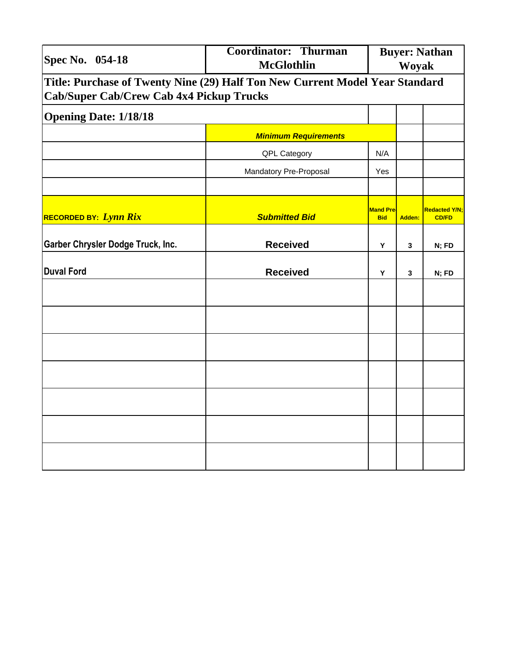| Spec No. 054-18                                                                                                                 | <b>Coordinator: Thurman</b><br><b>McGlothlin</b> | <b>Buyer: Nathan</b><br>Woyak  |        |                                      |
|---------------------------------------------------------------------------------------------------------------------------------|--------------------------------------------------|--------------------------------|--------|--------------------------------------|
| Title: Purchase of Twenty Nine (29) Half Ton New Current Model Year Standard<br><b>Cab/Super Cab/Crew Cab 4x4 Pickup Trucks</b> |                                                  |                                |        |                                      |
| <b>Opening Date: 1/18/18</b>                                                                                                    |                                                  |                                |        |                                      |
|                                                                                                                                 | <b>Minimum Requirements</b>                      |                                |        |                                      |
|                                                                                                                                 | QPL Category                                     | N/A                            |        |                                      |
|                                                                                                                                 | Mandatory Pre-Proposal                           | Yes                            |        |                                      |
|                                                                                                                                 |                                                  |                                |        |                                      |
| <b>RECORDED BY: Lynn Rix</b>                                                                                                    | <b>Submitted Bid</b>                             | <b>Mand Pre-</b><br><b>Bid</b> | Adden: | <b>Redacted Y/N:</b><br><b>CD/FD</b> |
| Garber Chrysler Dodge Truck, Inc.                                                                                               | <b>Received</b>                                  | Y                              | 3      | N; FD                                |
| <b>Duval Ford</b>                                                                                                               | <b>Received</b>                                  | Y                              | 3      | N; FD                                |
|                                                                                                                                 |                                                  |                                |        |                                      |
|                                                                                                                                 |                                                  |                                |        |                                      |
|                                                                                                                                 |                                                  |                                |        |                                      |
|                                                                                                                                 |                                                  |                                |        |                                      |
|                                                                                                                                 |                                                  |                                |        |                                      |
|                                                                                                                                 |                                                  |                                |        |                                      |
|                                                                                                                                 |                                                  |                                |        |                                      |